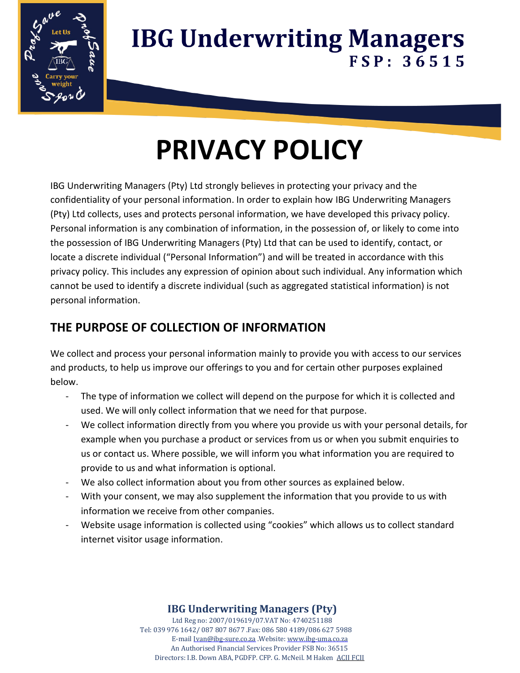

# **PRIVACY POLICY**

IBG Underwriting Managers (Pty) Ltd strongly believes in protecting your privacy and the confidentiality of your personal information. In order to explain how IBG Underwriting Managers (Pty) Ltd collects, uses and protects personal information, we have developed this privacy policy. Personal information is any combination of information, in the possession of, or likely to come into the possession of IBG Underwriting Managers (Pty) Ltd that can be used to identify, contact, or locate a discrete individual ("Personal Information") and will be treated in accordance with this privacy policy. This includes any expression of opinion about such individual. Any information which cannot be used to identify a discrete individual (such as aggregated statistical information) is not personal information.

## **THE PURPOSE OF COLLECTION OF INFORMATION**

We collect and process your personal information mainly to provide you with access to our services and products, to help us improve our offerings to you and for certain other purposes explained below.

- The type of information we collect will depend on the purpose for which it is collected and used. We will only collect information that we need for that purpose.
- We collect information directly from you where you provide us with your personal details, for example when you purchase a product or services from us or when you submit enquiries to us or contact us. Where possible, we will inform you what information you are required to provide to us and what information is optional.
- We also collect information about you from other sources as explained below.
- With your consent, we may also supplement the information that you provide to us with information we receive from other companies.
- Website usage information is collected using "cookies" which allows us to collect standard internet visitor usage information.

#### **IBG Underwriting Managers (Pty)**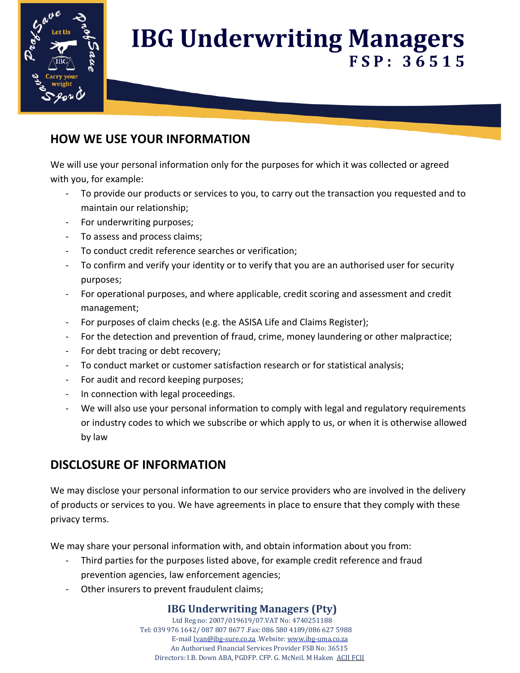

#### **HOW WE USE YOUR INFORMATION**

We will use your personal information only for the purposes for which it was collected or agreed with you, for example:

- To provide our products or services to you, to carry out the transaction you requested and to maintain our relationship;
- For underwriting purposes;
- To assess and process claims;
- To conduct credit reference searches or verification;
- To confirm and verify your identity or to verify that you are an authorised user for security purposes;
- For operational purposes, and where applicable, credit scoring and assessment and credit management;
- For purposes of claim checks (e.g. the ASISA Life and Claims Register);
- For the detection and prevention of fraud, crime, money laundering or other malpractice;
- For debt tracing or debt recovery;
- To conduct market or customer satisfaction research or for statistical analysis;
- For audit and record keeping purposes;
- In connection with legal proceedings.
- We will also use your personal information to comply with legal and regulatory requirements or industry codes to which we subscribe or which apply to us, or when it is otherwise allowed by law

#### **DISCLOSURE OF INFORMATION**

We may disclose your personal information to our service providers who are involved in the delivery of products or services to you. We have agreements in place to ensure that they comply with these privacy terms.

We may share your personal information with, and obtain information about you from:

- Third parties for the purposes listed above, for example credit reference and fraud prevention agencies, law enforcement agencies;
- Other insurers to prevent fraudulent claims;

#### **IBG Underwriting Managers (Pty)**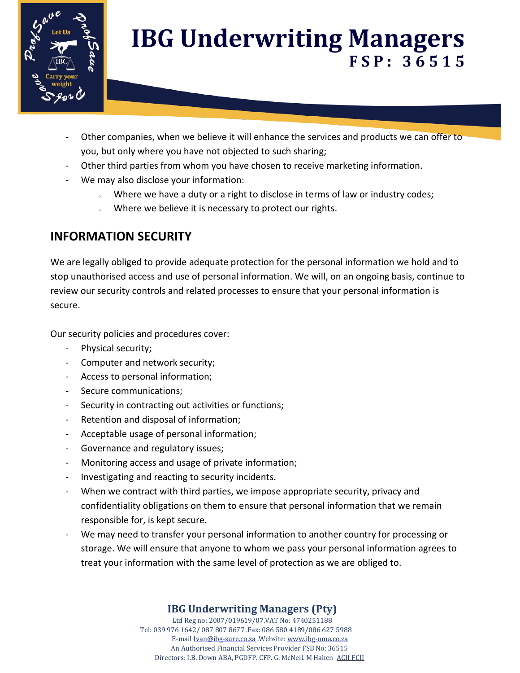

- Other companies, when we believe it will enhance the services and products we can offer to you, but only where you have not objected to such sharing;
- Other third parties from whom you have chosen to receive marketing information.
- We may also disclose your information:
	- o Where we have a duty or a right to disclose in terms of law or industry codes;
	- . Where we believe it is necessary to protect our rights.

### **INFORMATION SECURITY**

We are legally obliged to provide adequate protection for the personal information we hold and to stop unauthorised access and use of personal information. We will, on an ongoing basis, continue to review our security controls and related processes to ensure that your personal information is secure.

Our security policies and procedures cover:

- Physical security;
- Computer and network security;
- Access to personal information;
- Secure communications;
- Security in contracting out activities or functions;
- Retention and disposal of information;
- Acceptable usage of personal information;
- Governance and regulatory issues;
- Monitoring access and usage of private information;
- Investigating and reacting to security incidents.
- When we contract with third parties, we impose appropriate security, privacy and confidentiality obligations on them to ensure that personal information that we remain responsible for, is kept secure.
- We may need to transfer your personal information to another country for processing or storage. We will ensure that anyone to whom we pass your personal information agrees to treat your information with the same level of protection as we are obliged to.

#### **IBG Underwriting Managers (Pty)**